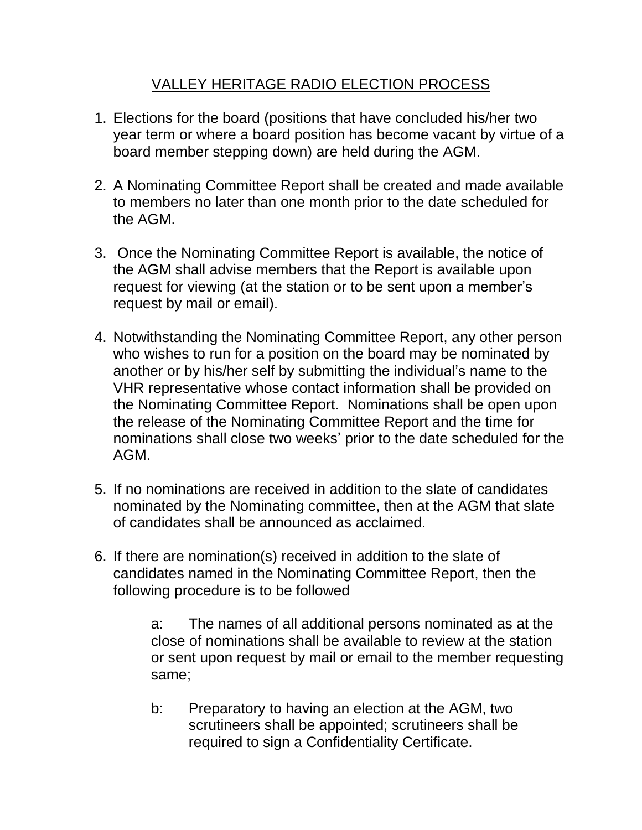## VALLEY HERITAGE RADIO ELECTION PROCESS

- 1. Elections for the board (positions that have concluded his/her two year term or where a board position has become vacant by virtue of a board member stepping down) are held during the AGM.
- 2. A Nominating Committee Report shall be created and made available to members no later than one month prior to the date scheduled for the AGM.
- 3. Once the Nominating Committee Report is available, the notice of the AGM shall advise members that the Report is available upon request for viewing (at the station or to be sent upon a member's request by mail or email).
- 4. Notwithstanding the Nominating Committee Report, any other person who wishes to run for a position on the board may be nominated by another or by his/her self by submitting the individual's name to the VHR representative whose contact information shall be provided on the Nominating Committee Report. Nominations shall be open upon the release of the Nominating Committee Report and the time for nominations shall close two weeks' prior to the date scheduled for the AGM.
- 5. If no nominations are received in addition to the slate of candidates nominated by the Nominating committee, then at the AGM that slate of candidates shall be announced as acclaimed.
- 6. If there are nomination(s) received in addition to the slate of candidates named in the Nominating Committee Report, then the following procedure is to be followed

a: The names of all additional persons nominated as at the close of nominations shall be available to review at the station or sent upon request by mail or email to the member requesting same;

b: Preparatory to having an election at the AGM, two scrutineers shall be appointed; scrutineers shall be required to sign a Confidentiality Certificate.